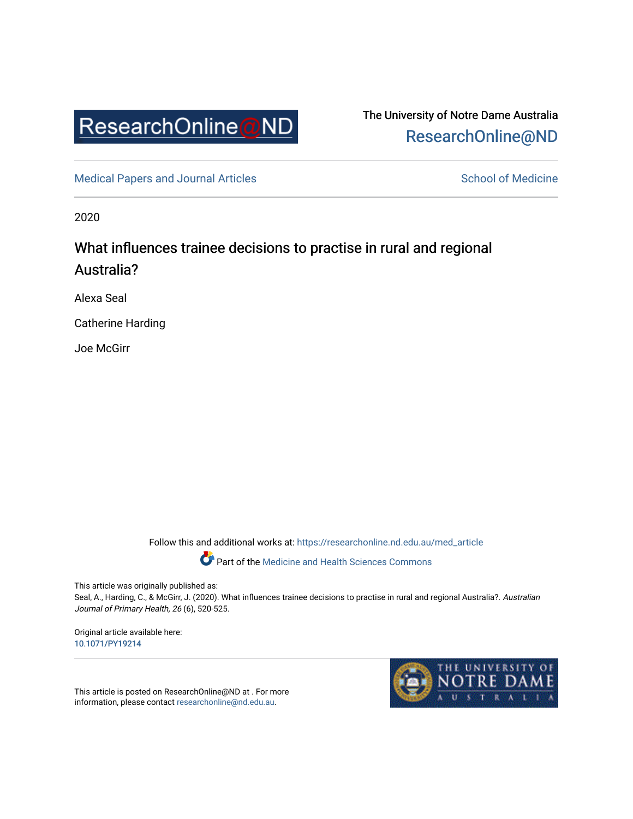

The University of Notre Dame Australia [ResearchOnline@ND](https://researchonline.nd.edu.au/) 

[Medical Papers and Journal Articles](https://researchonline.nd.edu.au/med_article) and School of Medicine

2020

# What influences trainee decisions to practise in rural and regional Australia?

Alexa Seal

Catherine Harding

Joe McGirr

Follow this and additional works at: [https://researchonline.nd.edu.au/med\\_article](https://researchonline.nd.edu.au/med_article?utm_source=researchonline.nd.edu.au%2Fmed_article%2F1270&utm_medium=PDF&utm_campaign=PDFCoverPages) 

Part of the [Medicine and Health Sciences Commons](http://network.bepress.com/hgg/discipline/648?utm_source=researchonline.nd.edu.au%2Fmed_article%2F1270&utm_medium=PDF&utm_campaign=PDFCoverPages)

This article was originally published as:

Seal, A., Harding, C., & McGirr, J. (2020). What influences trainee decisions to practise in rural and regional Australia?. Australian Journal of Primary Health, 26 (6), 520-525.

Original article available here: [10.1071/PY19214](https://doi.org/10.1071/PY19214) 

This article is posted on ResearchOnline@ND at . For more information, please contact [researchonline@nd.edu.au.](mailto:researchonline@nd.edu.au)

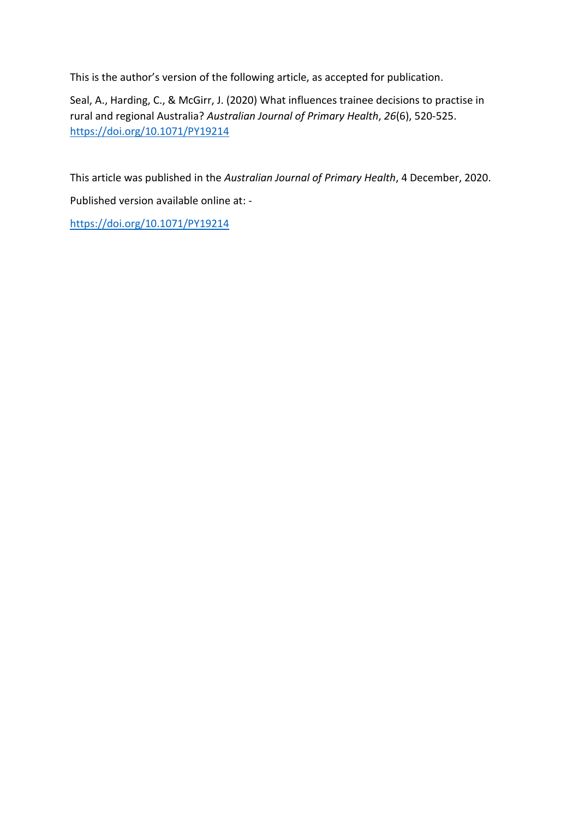This is the author's version of the following article, as accepted for publication.

Seal, A., Harding, C., & McGirr, J. (2020) What influences trainee decisions to practise in rural and regional Australia? *Australian Journal of Primary Health*, *26*(6), 520-525. <https://doi.org/10.1071/PY19214>

This article was published in the *Australian Journal of Primary Health*, 4 December, 2020. Published version available online at: -

<https://doi.org/10.1071/PY19214>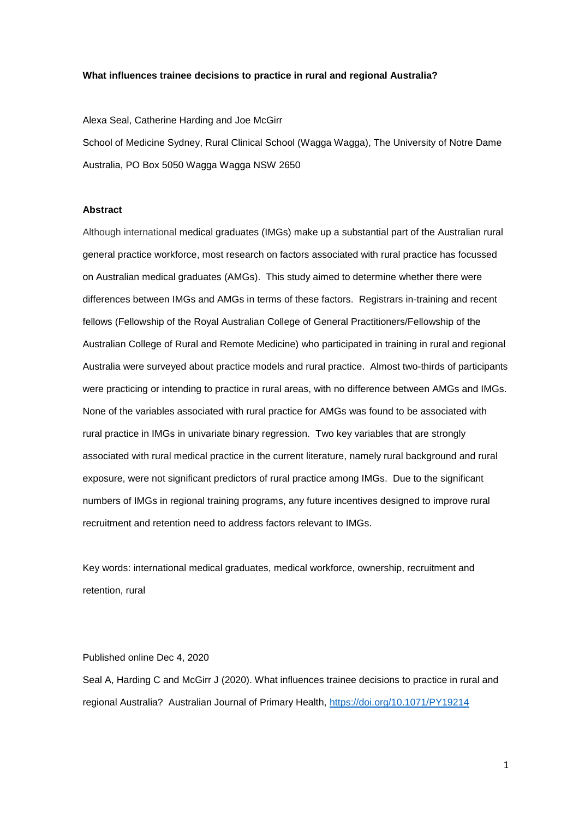## **What influences trainee decisions to practice in rural and regional Australia?**

Alexa Seal, Catherine Harding and Joe McGirr

School of Medicine Sydney, Rural Clinical School (Wagga Wagga), The University of Notre Dame Australia, PO Box 5050 Wagga Wagga NSW 2650

## **Abstract**

Although international medical graduates (IMGs) make up a substantial part of the Australian rural general practice workforce, most research on factors associated with rural practice has focussed on Australian medical graduates (AMGs). This study aimed to determine whether there were differences between IMGs and AMGs in terms of these factors. Registrars in-training and recent fellows (Fellowship of the Royal Australian College of General Practitioners/Fellowship of the Australian College of Rural and Remote Medicine) who participated in training in rural and regional Australia were surveyed about practice models and rural practice. Almost two-thirds of participants were practicing or intending to practice in rural areas, with no difference between AMGs and IMGs. None of the variables associated with rural practice for AMGs was found to be associated with rural practice in IMGs in univariate binary regression. Two key variables that are strongly associated with rural medical practice in the current literature, namely rural background and rural exposure, were not significant predictors of rural practice among IMGs. Due to the significant numbers of IMGs in regional training programs, any future incentives designed to improve rural recruitment and retention need to address factors relevant to IMGs.

Key words: international medical graduates, medical workforce, ownership, recruitment and retention, rural

### Published online Dec 4, 2020

Seal A, Harding C and McGirr J (2020). What influences trainee decisions to practice in rural and regional Australia? Australian Journal of Primary Health,<https://doi.org/10.1071/PY19214>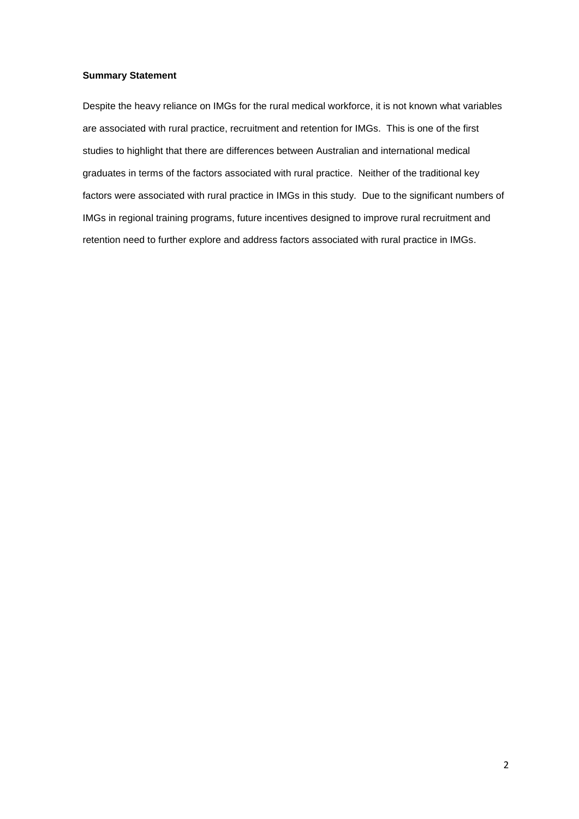## **Summary Statement**

Despite the heavy reliance on IMGs for the rural medical workforce, it is not known what variables are associated with rural practice, recruitment and retention for IMGs. This is one of the first studies to highlight that there are differences between Australian and international medical graduates in terms of the factors associated with rural practice. Neither of the traditional key factors were associated with rural practice in IMGs in this study. Due to the significant numbers of IMGs in regional training programs, future incentives designed to improve rural recruitment and retention need to further explore and address factors associated with rural practice in IMGs.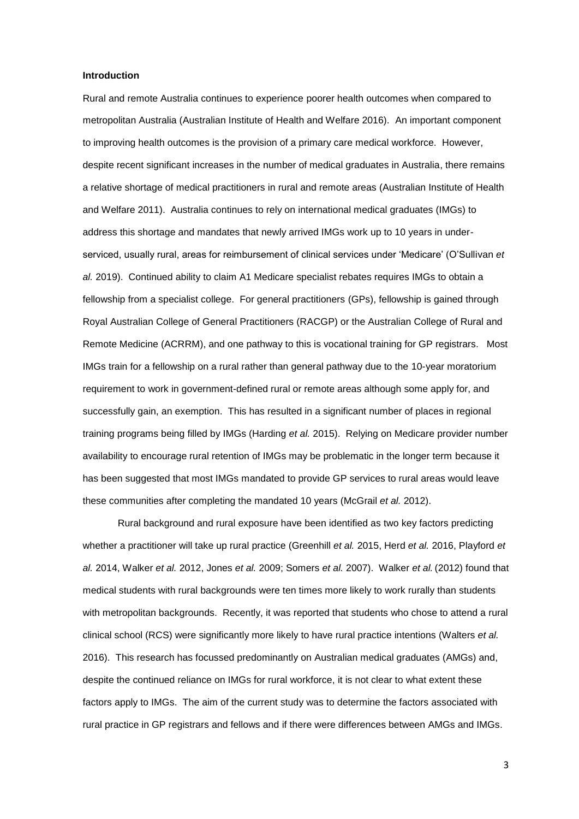## **Introduction**

Rural and remote Australia continues to experience poorer health outcomes when compared to metropolitan Australia (Australian Institute of Health and Welfare 2016). An important component to improving health outcomes is the provision of a primary care medical workforce. However, despite recent significant increases in the number of medical graduates in Australia, there remains a relative shortage of medical practitioners in rural and remote areas (Australian Institute of Health and Welfare 2011). Australia continues to rely on international medical graduates (IMGs) to address this shortage and mandates that newly arrived IMGs work up to 10 years in underserviced, usually rural, areas for reimbursement of clinical services under 'Medicare' (O'Sullivan *et al.* 2019). Continued ability to claim A1 Medicare specialist rebates requires IMGs to obtain a fellowship from a specialist college. For general practitioners (GPs), fellowship is gained through Royal Australian College of General Practitioners (RACGP) or the Australian College of Rural and Remote Medicine (ACRRM), and one pathway to this is vocational training for GP registrars. Most IMGs train for a fellowship on a rural rather than general pathway due to the 10-year moratorium requirement to work in government-defined rural or remote areas although some apply for, and successfully gain, an exemption. This has resulted in a significant number of places in regional training programs being filled by IMGs (Harding *et al.* 2015). Relying on Medicare provider number availability to encourage rural retention of IMGs may be problematic in the longer term because it has been suggested that most IMGs mandated to provide GP services to rural areas would leave these communities after completing the mandated 10 years (McGrail *et al.* 2012).

Rural background and rural exposure have been identified as two key factors predicting whether a practitioner will take up rural practice (Greenhill *et al.* 2015, Herd *et al.* 2016, Playford *et al.* 2014, Walker *et al.* 2012, Jones *et al.* 2009; Somers *et al.* 2007). Walker *et al.* (2012) found that medical students with rural backgrounds were ten times more likely to work rurally than students with metropolitan backgrounds. Recently, it was reported that students who chose to attend a rural clinical school (RCS) were significantly more likely to have rural practice intentions (Walters *et al.* 2016). This research has focussed predominantly on Australian medical graduates (AMGs) and, despite the continued reliance on IMGs for rural workforce, it is not clear to what extent these factors apply to IMGs. The aim of the current study was to determine the factors associated with rural practice in GP registrars and fellows and if there were differences between AMGs and IMGs.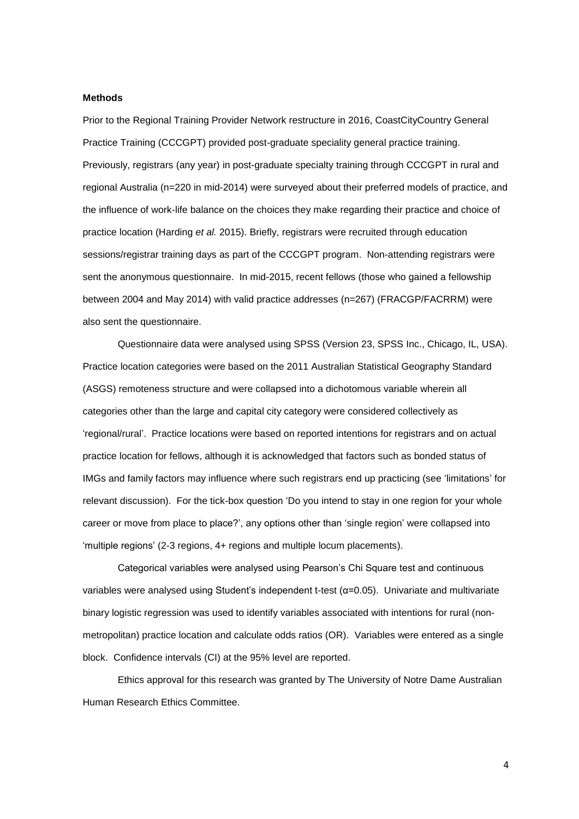#### **Methods**

Prior to the Regional Training Provider Network restructure in 2016, CoastCityCountry General Practice Training (CCCGPT) provided post-graduate speciality general practice training. Previously, registrars (any year) in post-graduate specialty training through CCCGPT in rural and regional Australia (n=220 in mid-2014) were surveyed about their preferred models of practice, and the influence of work-life balance on the choices they make regarding their practice and choice of practice location (Harding *et al.* 2015). Briefly, registrars were recruited through education sessions/registrar training days as part of the CCCGPT program. Non-attending registrars were sent the anonymous questionnaire. In mid-2015, recent fellows (those who gained a fellowship between 2004 and May 2014) with valid practice addresses (n=267) (FRACGP/FACRRM) were also sent the questionnaire.

Questionnaire data were analysed using SPSS (Version 23, SPSS Inc., Chicago, IL, USA). Practice location categories were based on the 2011 Australian Statistical Geography Standard (ASGS) remoteness structure and were collapsed into a dichotomous variable wherein all categories other than the large and capital city category were considered collectively as 'regional/rural'. Practice locations were based on reported intentions for registrars and on actual practice location for fellows, although it is acknowledged that factors such as bonded status of IMGs and family factors may influence where such registrars end up practicing (see 'limitations' for relevant discussion). For the tick-box question 'Do you intend to stay in one region for your whole career or move from place to place?', any options other than 'single region' were collapsed into 'multiple regions' (2-3 regions, 4+ regions and multiple locum placements).

Categorical variables were analysed using Pearson's Chi Square test and continuous variables were analysed using Student's independent t-test (α=0.05). Univariate and multivariate binary logistic regression was used to identify variables associated with intentions for rural (nonmetropolitan) practice location and calculate odds ratios (OR). Variables were entered as a single block. Confidence intervals (CI) at the 95% level are reported.

Ethics approval for this research was granted by The University of Notre Dame Australian Human Research Ethics Committee.

4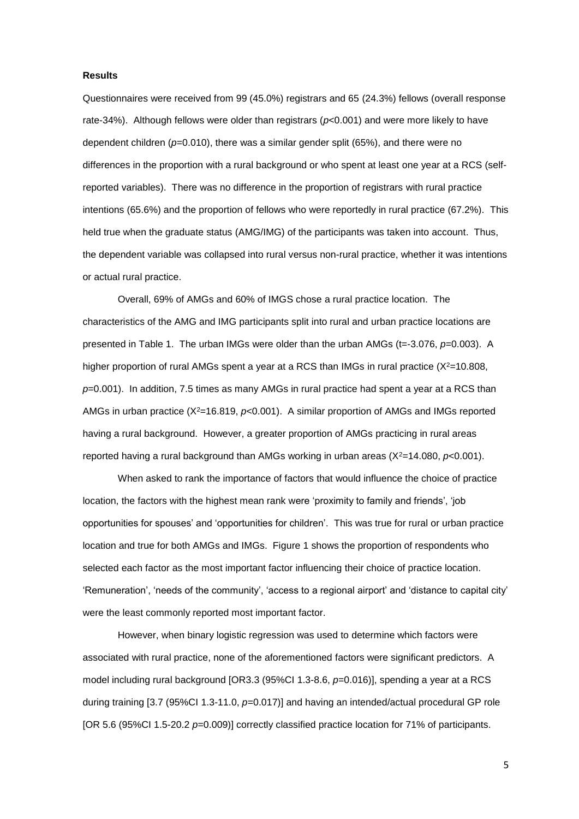## **Results**

Questionnaires were received from 99 (45.0%) registrars and 65 (24.3%) fellows (overall response rate-34%). Although fellows were older than registrars (*p*<0.001) and were more likely to have dependent children (*p*=0.010), there was a similar gender split (65%), and there were no differences in the proportion with a rural background or who spent at least one year at a RCS (selfreported variables). There was no difference in the proportion of registrars with rural practice intentions (65.6%) and the proportion of fellows who were reportedly in rural practice (67.2%). This held true when the graduate status (AMG/IMG) of the participants was taken into account. Thus, the dependent variable was collapsed into rural versus non-rural practice, whether it was intentions or actual rural practice.

Overall, 69% of AMGs and 60% of IMGS chose a rural practice location. The characteristics of the AMG and IMG participants split into rural and urban practice locations are presented in Table 1. The urban IMGs were older than the urban AMGs (t=-3.076, p=0.003). A higher proportion of rural AMGs spent a year at a RCS than IMGs in rural practice  $(X^2=10.808,$ *p*=0.001). In addition, 7.5 times as many AMGs in rural practice had spent a year at a RCS than AMGs in urban practice  $(X^2=16.819, p<0.001)$ . A similar proportion of AMGs and IMGs reported having a rural background. However, a greater proportion of AMGs practicing in rural areas reported having a rural background than AMGs working in urban areas  $(X^2=14.080, p<0.001)$ .

When asked to rank the importance of factors that would influence the choice of practice location, the factors with the highest mean rank were 'proximity to family and friends', 'job opportunities for spouses' and 'opportunities for children'. This was true for rural or urban practice location and true for both AMGs and IMGs. Figure 1 shows the proportion of respondents who selected each factor as the most important factor influencing their choice of practice location. 'Remuneration', 'needs of the community', 'access to a regional airport' and 'distance to capital city' were the least commonly reported most important factor.

However, when binary logistic regression was used to determine which factors were associated with rural practice, none of the aforementioned factors were significant predictors. A model including rural background [OR3.3 (95%CI 1.3-8.6, *p*=0.016)], spending a year at a RCS during training [3.7 (95%CI 1.3-11.0, *p*=0.017)] and having an intended/actual procedural GP role [OR 5.6 (95%CI 1.5-20.2 *p*=0.009)] correctly classified practice location for 71% of participants.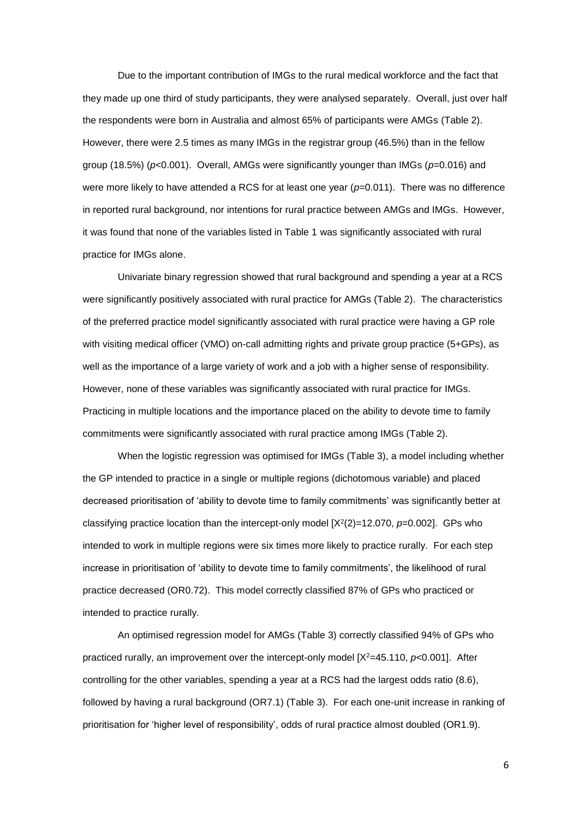Due to the important contribution of IMGs to the rural medical workforce and the fact that they made up one third of study participants, they were analysed separately. Overall, just over half the respondents were born in Australia and almost 65% of participants were AMGs (Table 2). However, there were 2.5 times as many IMGs in the registrar group (46.5%) than in the fellow group (18.5%) (*p*<0.001). Overall, AMGs were significantly younger than IMGs (*p*=0.016) and were more likely to have attended a RCS for at least one year ( $p=0.011$ ). There was no difference in reported rural background, nor intentions for rural practice between AMGs and IMGs. However, it was found that none of the variables listed in Table 1 was significantly associated with rural practice for IMGs alone.

Univariate binary regression showed that rural background and spending a year at a RCS were significantly positively associated with rural practice for AMGs (Table 2). The characteristics of the preferred practice model significantly associated with rural practice were having a GP role with visiting medical officer (VMO) on-call admitting rights and private group practice (5+GPs), as well as the importance of a large variety of work and a job with a higher sense of responsibility. However, none of these variables was significantly associated with rural practice for IMGs. Practicing in multiple locations and the importance placed on the ability to devote time to family commitments were significantly associated with rural practice among IMGs (Table 2).

When the logistic regression was optimised for IMGs (Table 3), a model including whether the GP intended to practice in a single or multiple regions (dichotomous variable) and placed decreased prioritisation of 'ability to devote time to family commitments' was significantly better at classifying practice location than the intercept-only model [X<sup>2</sup>(2)=12.070, p=0.002]. GPs who intended to work in multiple regions were six times more likely to practice rurally. For each step increase in prioritisation of 'ability to devote time to family commitments', the likelihood of rural practice decreased (OR0.72). This model correctly classified 87% of GPs who practiced or intended to practice rurally.

An optimised regression model for AMGs (Table 3) correctly classified 94% of GPs who practiced rurally, an improvement over the intercept-only model [X<sup>2</sup>=45.110, *p*<0.001]. After controlling for the other variables, spending a year at a RCS had the largest odds ratio (8.6), followed by having a rural background (OR7.1) (Table 3). For each one-unit increase in ranking of prioritisation for 'higher level of responsibility', odds of rural practice almost doubled (OR1.9).

6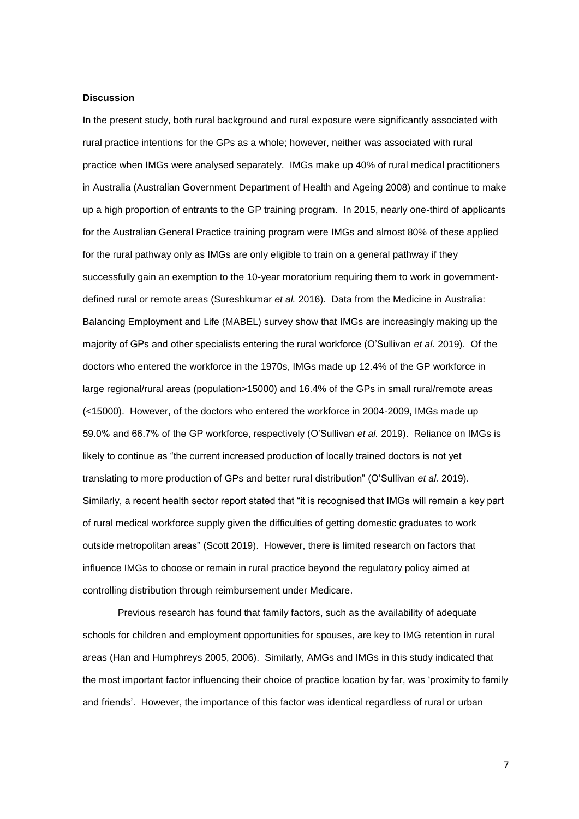#### **Discussion**

In the present study, both rural background and rural exposure were significantly associated with rural practice intentions for the GPs as a whole; however, neither was associated with rural practice when IMGs were analysed separately. IMGs make up 40% of rural medical practitioners in Australia (Australian Government Department of Health and Ageing 2008) and continue to make up a high proportion of entrants to the GP training program. In 2015, nearly one-third of applicants for the Australian General Practice training program were IMGs and almost 80% of these applied for the rural pathway only as IMGs are only eligible to train on a general pathway if they successfully gain an exemption to the 10-year moratorium requiring them to work in governmentdefined rural or remote areas (Sureshkumar *et al.* 2016). Data from the Medicine in Australia: Balancing Employment and Life (MABEL) survey show that IMGs are increasingly making up the majority of GPs and other specialists entering the rural workforce (O'Sullivan *et al*. 2019). Of the doctors who entered the workforce in the 1970s, IMGs made up 12.4% of the GP workforce in large regional/rural areas (population>15000) and 16.4% of the GPs in small rural/remote areas (<15000). However, of the doctors who entered the workforce in 2004-2009, IMGs made up 59.0% and 66.7% of the GP workforce, respectively (O'Sullivan *et al.* 2019). Reliance on IMGs is likely to continue as "the current increased production of locally trained doctors is not yet translating to more production of GPs and better rural distribution" (O'Sullivan *et al.* 2019). Similarly, a recent health sector report stated that "it is recognised that IMGs will remain a key part of rural medical workforce supply given the difficulties of getting domestic graduates to work outside metropolitan areas" (Scott 2019). However, there is limited research on factors that influence IMGs to choose or remain in rural practice beyond the regulatory policy aimed at controlling distribution through reimbursement under Medicare.

Previous research has found that family factors, such as the availability of adequate schools for children and employment opportunities for spouses, are key to IMG retention in rural areas (Han and Humphreys 2005, 2006). Similarly, AMGs and IMGs in this study indicated that the most important factor influencing their choice of practice location by far, was 'proximity to family and friends'. However, the importance of this factor was identical regardless of rural or urban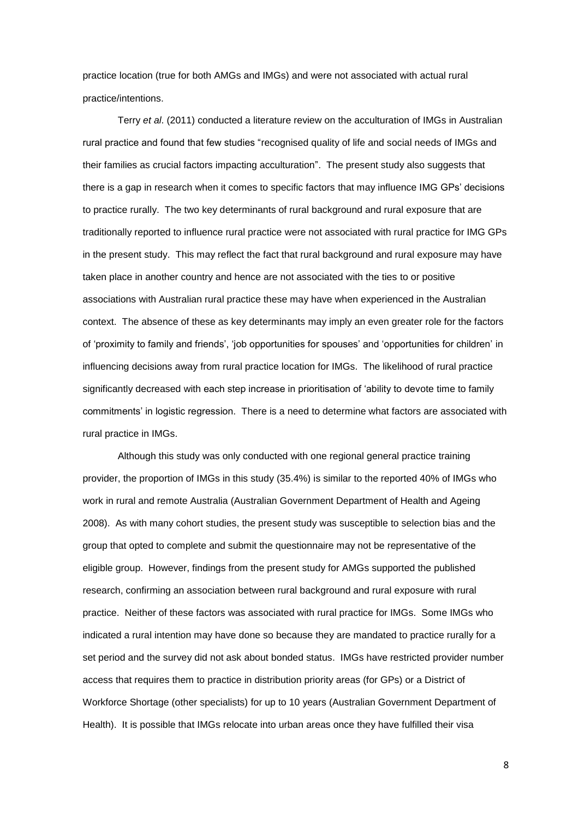practice location (true for both AMGs and IMGs) and were not associated with actual rural practice/intentions.

Terry *et al*. (2011) conducted a literature review on the acculturation of IMGs in Australian rural practice and found that few studies "recognised quality of life and social needs of IMGs and their families as crucial factors impacting acculturation". The present study also suggests that there is a gap in research when it comes to specific factors that may influence IMG GPs' decisions to practice rurally. The two key determinants of rural background and rural exposure that are traditionally reported to influence rural practice were not associated with rural practice for IMG GPs in the present study. This may reflect the fact that rural background and rural exposure may have taken place in another country and hence are not associated with the ties to or positive associations with Australian rural practice these may have when experienced in the Australian context. The absence of these as key determinants may imply an even greater role for the factors of 'proximity to family and friends', 'job opportunities for spouses' and 'opportunities for children' in influencing decisions away from rural practice location for IMGs. The likelihood of rural practice significantly decreased with each step increase in prioritisation of 'ability to devote time to family commitments' in logistic regression. There is a need to determine what factors are associated with rural practice in IMGs.

Although this study was only conducted with one regional general practice training provider, the proportion of IMGs in this study (35.4%) is similar to the reported 40% of IMGs who work in rural and remote Australia (Australian Government Department of Health and Ageing 2008). As with many cohort studies, the present study was susceptible to selection bias and the group that opted to complete and submit the questionnaire may not be representative of the eligible group. However, findings from the present study for AMGs supported the published research, confirming an association between rural background and rural exposure with rural practice. Neither of these factors was associated with rural practice for IMGs. Some IMGs who indicated a rural intention may have done so because they are mandated to practice rurally for a set period and the survey did not ask about bonded status. IMGs have restricted provider number access that requires them to practice in distribution priority areas (for GPs) or a District of Workforce Shortage (other specialists) for up to 10 years (Australian Government Department of Health). It is possible that IMGs relocate into urban areas once they have fulfilled their visa

8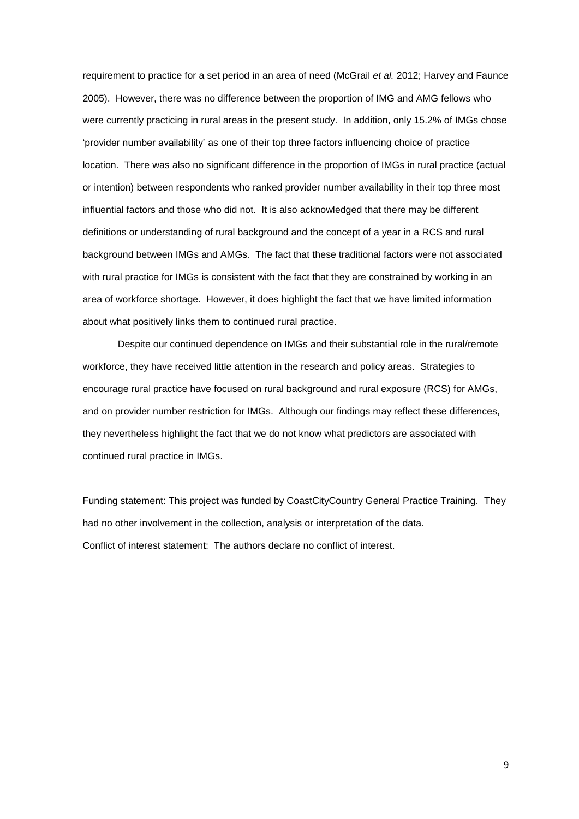requirement to practice for a set period in an area of need (McGrail *et al.* 2012; Harvey and Faunce 2005). However, there was no difference between the proportion of IMG and AMG fellows who were currently practicing in rural areas in the present study. In addition, only 15.2% of IMGs chose 'provider number availability' as one of their top three factors influencing choice of practice location. There was also no significant difference in the proportion of IMGs in rural practice (actual or intention) between respondents who ranked provider number availability in their top three most influential factors and those who did not. It is also acknowledged that there may be different definitions or understanding of rural background and the concept of a year in a RCS and rural background between IMGs and AMGs. The fact that these traditional factors were not associated with rural practice for IMGs is consistent with the fact that they are constrained by working in an area of workforce shortage. However, it does highlight the fact that we have limited information about what positively links them to continued rural practice.

Despite our continued dependence on IMGs and their substantial role in the rural/remote workforce, they have received little attention in the research and policy areas. Strategies to encourage rural practice have focused on rural background and rural exposure (RCS) for AMGs, and on provider number restriction for IMGs. Although our findings may reflect these differences, they nevertheless highlight the fact that we do not know what predictors are associated with continued rural practice in IMGs.

Funding statement: This project was funded by CoastCityCountry General Practice Training. They had no other involvement in the collection, analysis or interpretation of the data. Conflict of interest statement: The authors declare no conflict of interest.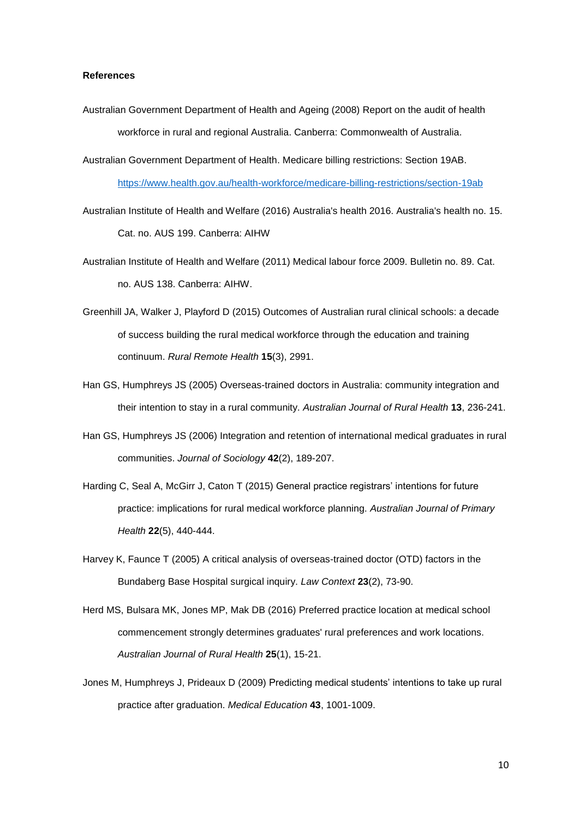## **References**

- Australian Government Department of Health and Ageing (2008) Report on the audit of health workforce in rural and regional Australia. Canberra: Commonwealth of Australia.
- Australian Government Department of Health. Medicare billing restrictions: Section 19AB. <https://www.health.gov.au/health-workforce/medicare-billing-restrictions/section-19ab>
- Australian Institute of Health and Welfare (2016) Australia's health 2016. Australia's health no. 15. Cat. no. AUS 199. Canberra: AIHW
- Australian Institute of Health and Welfare (2011) Medical labour force 2009. Bulletin no. 89. Cat. no. AUS 138. Canberra: AIHW.
- Greenhill JA, Walker J, Playford D (2015) Outcomes of Australian rural clinical schools: a decade of success building the rural medical workforce through the education and training continuum. *Rural Remote Health* **15**(3), 2991.
- Han GS, Humphreys JS (2005) Overseas-trained doctors in Australia: community integration and their intention to stay in a rural community. *Australian Journal of Rural Health* **13**, 236-241.
- Han GS, Humphreys JS (2006) Integration and retention of international medical graduates in rural communities. *Journal of Sociology* **42**(2), 189-207.
- Harding C, Seal A, McGirr J, Caton T (2015) General practice registrars' intentions for future practice: implications for rural medical workforce planning. *Australian Journal of Primary Health* **22**(5), 440-444.
- Harvey K, Faunce T (2005) A critical analysis of overseas-trained doctor (OTD) factors in the Bundaberg Base Hospital surgical inquiry. *Law Context* **23**(2), 73-90.
- Herd MS, Bulsara MK, Jones MP, Mak DB (2016) Preferred practice location at medical school commencement strongly determines graduates' rural preferences and work locations. *Australian Journal of Rural Health* **25**(1), 15-21.
- Jones M, Humphreys J, Prideaux D (2009) Predicting medical students' intentions to take up rural practice after graduation. *Medical Education* **43**, 1001-1009.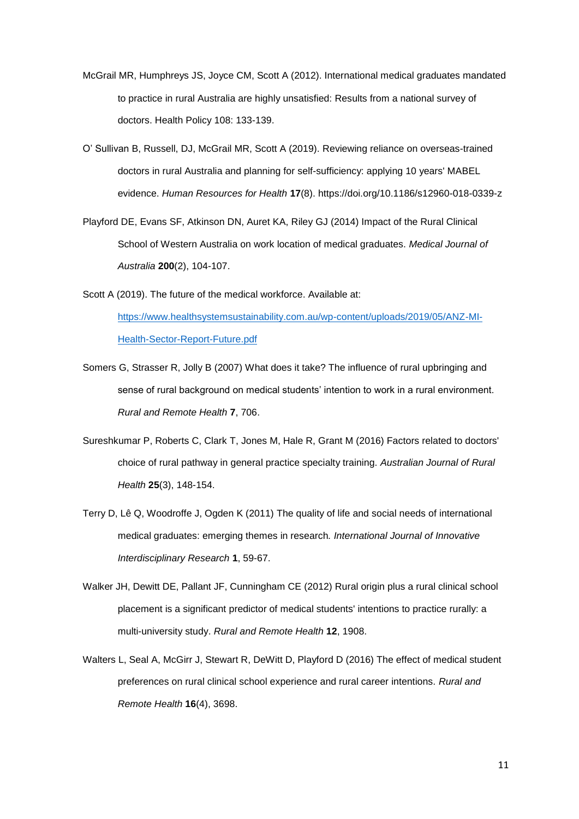- McGrail MR, Humphreys JS, Joyce CM, Scott A (2012). International medical graduates mandated to practice in rural Australia are highly unsatisfied: Results from a national survey of doctors. Health Policy 108: 133-139.
- O' Sullivan B, Russell, DJ, McGrail MR, Scott A (2019). Reviewing reliance on overseas-trained doctors in rural Australia and planning for self-sufficiency: applying 10 years' MABEL evidence. *Human Resources for Health* **17**(8). https://doi.org/10.1186/s12960-018-0339-z
- Playford DE, Evans SF, Atkinson DN, Auret KA, Riley GJ (2014) Impact of the Rural Clinical School of Western Australia on work location of medical graduates. *Medical Journal of Australia* **200**(2), 104-107.
- Scott A (2019). The future of the medical workforce. Available at: [https://www.healthsystemsustainability.com.au/wp-content/uploads/2019/05/ANZ-MI-](https://www.healthsystemsustainability.com.au/wp-content/uploads/2019/05/ANZ-MI-Health-Sector-Report-Future.pdf)[Health-Sector-Report-Future.pdf](https://www.healthsystemsustainability.com.au/wp-content/uploads/2019/05/ANZ-MI-Health-Sector-Report-Future.pdf)
- Somers G, Strasser R, Jolly B (2007) What does it take? The influence of rural upbringing and sense of rural background on medical students' intention to work in a rural environment. *Rural and Remote Health* **7**, 706.
- Sureshkumar P, Roberts C, Clark T, Jones M, Hale R, Grant M (2016) Factors related to doctors' choice of rural pathway in general practice specialty training. *Australian Journal of Rural Health* **25**(3), 148-154.
- Terry D, Lê Q, Woodroffe J, Ogden K (2011) The quality of life and social needs of international medical graduates: emerging themes in research*. International Journal of Innovative Interdisciplinary Research* **1**, 59-67.
- Walker JH, Dewitt DE, Pallant JF, Cunningham CE (2012) Rural origin plus a rural clinical school placement is a significant predictor of medical students' intentions to practice rurally: a multi-university study. *Rural and Remote Health* **12**, 1908.
- Walters L, Seal A, McGirr J, Stewart R, DeWitt D, Playford D (2016) The effect of medical student preferences on rural clinical school experience and rural career intentions. *Rural and Remote Health* **16**(4), 3698.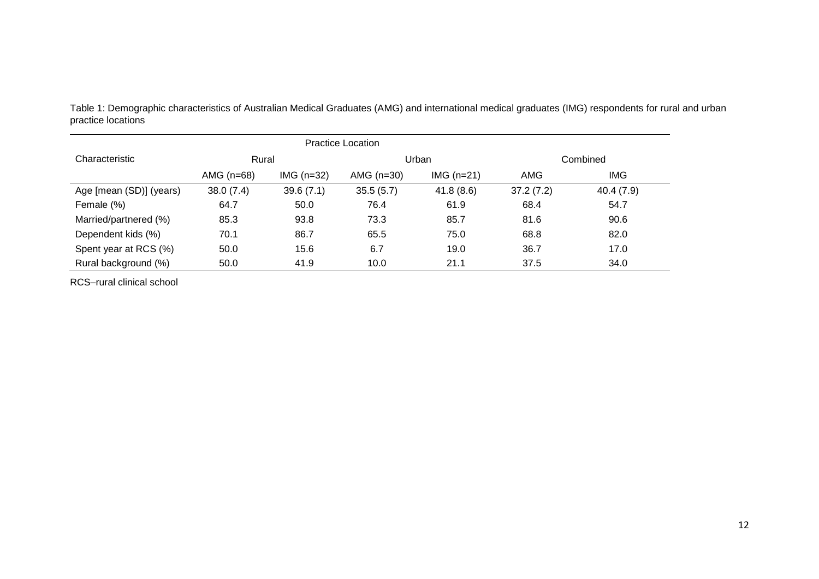| <b>Practice Location</b> |              |             |              |              |           |            |
|--------------------------|--------------|-------------|--------------|--------------|-----------|------------|
| Characteristic           | Rural        |             | Urban        |              | Combined  |            |
|                          | AMG $(n=68)$ | $IMG(n=32)$ | AMG $(n=30)$ | IMG $(n=21)$ | AMG       | <b>IMG</b> |
| Age [mean (SD)] (years)  | 38.0(7.4)    | 39.6(7.1)   | 35.5(5.7)    | 41.8(8.6)    | 37.2(7.2) | 40.4 (7.9) |
| Female (%)               | 64.7         | 50.0        | 76.4         | 61.9         | 68.4      | 54.7       |
| Married/partnered (%)    | 85.3         | 93.8        | 73.3         | 85.7         | 81.6      | 90.6       |
| Dependent kids (%)       | 70.1         | 86.7        | 65.5         | 75.0         | 68.8      | 82.0       |
| Spent year at RCS (%)    | 50.0         | 15.6        | 6.7          | 19.0         | 36.7      | 17.0       |
| Rural background (%)     | 50.0         | 41.9        | 10.0         | 21.1         | 37.5      | 34.0       |

Table 1: Demographic characteristics of Australian Medical Graduates (AMG) and international medical graduates (IMG) respondents for rural and urban practice locations

RCS–rural clinical school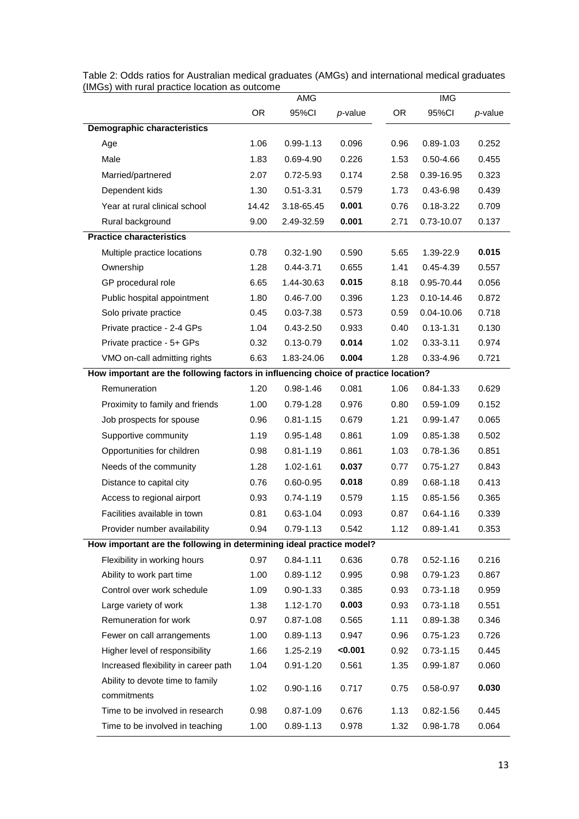|                                                                                     | AMG       |               | <b>IMG</b> |           |                |         |
|-------------------------------------------------------------------------------------|-----------|---------------|------------|-----------|----------------|---------|
|                                                                                     | <b>OR</b> | 95%CI         | $p$ -value | <b>OR</b> | 95%CI          | p-value |
| <b>Demographic characteristics</b>                                                  |           |               |            |           |                |         |
| Age                                                                                 | 1.06      | $0.99 - 1.13$ | 0.096      | 0.96      | 0.89-1.03      | 0.252   |
| Male                                                                                | 1.83      | 0.69-4.90     | 0.226      | 1.53      | 0.50-4.66      | 0.455   |
| Married/partnered                                                                   | 2.07      | 0.72-5.93     | 0.174      | 2.58      | 0.39-16.95     | 0.323   |
| Dependent kids                                                                      | 1.30      | $0.51 - 3.31$ | 0.579      | 1.73      | $0.43 - 6.98$  | 0.439   |
| Year at rural clinical school                                                       | 14.42     | 3.18-65.45    | 0.001      | 0.76      | $0.18 - 3.22$  | 0.709   |
| Rural background                                                                    | 9.00      | 2.49-32.59    | 0.001      | 2.71      | 0.73-10.07     | 0.137   |
| <b>Practice characteristics</b>                                                     |           |               |            |           |                |         |
| Multiple practice locations                                                         | 0.78      | $0.32 - 1.90$ | 0.590      | 5.65      | 1.39-22.9      | 0.015   |
| Ownership                                                                           | 1.28      | $0.44 - 3.71$ | 0.655      | 1.41      | $0.45 - 4.39$  | 0.557   |
| GP procedural role                                                                  | 6.65      | 1.44-30.63    | 0.015      | 8.18      | 0.95-70.44     | 0.056   |
| Public hospital appointment                                                         | 1.80      | $0.46 - 7.00$ | 0.396      | 1.23      | $0.10 - 14.46$ | 0.872   |
| Solo private practice                                                               | 0.45      | $0.03 - 7.38$ | 0.573      | 0.59      | 0.04-10.06     | 0.718   |
| Private practice - 2-4 GPs                                                          | 1.04      | $0.43 - 2.50$ | 0.933      | 0.40      | $0.13 - 1.31$  | 0.130   |
| Private practice - 5+ GPs                                                           | 0.32      | $0.13 - 0.79$ | 0.014      | 1.02      | $0.33 - 3.11$  | 0.974   |
| VMO on-call admitting rights                                                        | 6.63      | 1.83-24.06    | 0.004      | 1.28      | $0.33 - 4.96$  | 0.721   |
| How important are the following factors in influencing choice of practice location? |           |               |            |           |                |         |
| Remuneration                                                                        | 1.20      | $0.98 - 1.46$ | 0.081      | 1.06      | 0.84-1.33      | 0.629   |
| Proximity to family and friends                                                     | 1.00      | $0.79 - 1.28$ | 0.976      | 0.80      | $0.59 - 1.09$  | 0.152   |
| Job prospects for spouse                                                            | 0.96      | $0.81 - 1.15$ | 0.679      | 1.21      | $0.99 - 1.47$  | 0.065   |
| Supportive community                                                                | 1.19      | $0.95 - 1.48$ | 0.861      | 1.09      | 0.85-1.38      | 0.502   |
| Opportunities for children                                                          | 0.98      | $0.81 - 1.19$ | 0.861      | 1.03      | $0.78 - 1.36$  | 0.851   |
| Needs of the community                                                              | 1.28      | 1.02-1.61     | 0.037      | 0.77      | $0.75 - 1.27$  | 0.843   |
| Distance to capital city                                                            | 0.76      | 0.60-0.95     | 0.018      | 0.89      | $0.68 - 1.18$  | 0.413   |
| Access to regional airport                                                          | 0.93      | $0.74 - 1.19$ | 0.579      | 1.15      | $0.85 - 1.56$  | 0.365   |
| Facilities available in town                                                        | 0.81      | $0.63 - 1.04$ | 0.093      | 0.87      | $0.64 - 1.16$  | 0.339   |
| Provider number availability                                                        | 0.94      | $0.79 - 1.13$ | 0.542      | 1.12      | $0.89 - 1.41$  | 0.353   |
| How important are the following in determining ideal practice model?                |           |               |            |           |                |         |
| Flexibility in working hours                                                        | 0.97      | $0.84 - 1.11$ | 0.636      | 0.78      | $0.52 - 1.16$  | 0.216   |
| Ability to work part time                                                           | 1.00      | $0.89 - 1.12$ | 0.995      | 0.98      | $0.79 - 1.23$  | 0.867   |
| Control over work schedule                                                          | 1.09      | $0.90 - 1.33$ | 0.385      | 0.93      | $0.73 - 1.18$  | 0.959   |
| Large variety of work                                                               | 1.38      | 1.12-1.70     | 0.003      | 0.93      | $0.73 - 1.18$  | 0.551   |
| Remuneration for work                                                               | 0.97      | $0.87 - 1.08$ | 0.565      | 1.11      | $0.89 - 1.38$  | 0.346   |
| Fewer on call arrangements                                                          | 1.00      | $0.89 - 1.13$ | 0.947      | 0.96      | $0.75 - 1.23$  | 0.726   |
| Higher level of responsibility                                                      | 1.66      | 1.25-2.19     | < 0.001    | 0.92      | $0.73 - 1.15$  | 0.445   |
| Increased flexibility in career path                                                | 1.04      | $0.91 - 1.20$ | 0.561      | 1.35      | 0.99-1.87      | 0.060   |
| Ability to devote time to family                                                    |           |               |            |           |                | 0.030   |
| commitments                                                                         | 1.02      | $0.90 - 1.16$ | 0.717      | 0.75      | 0.58-0.97      |         |
| Time to be involved in research                                                     | 0.98      | $0.87 - 1.09$ | 0.676      | 1.13      | $0.82 - 1.56$  | 0.445   |
| Time to be involved in teaching                                                     | 1.00      | $0.89 - 1.13$ | 0.978      | 1.32      | 0.98-1.78      | 0.064   |

Table 2: Odds ratios for Australian medical graduates (AMGs) and international medical graduates (IMGs) with rural practice location as outcome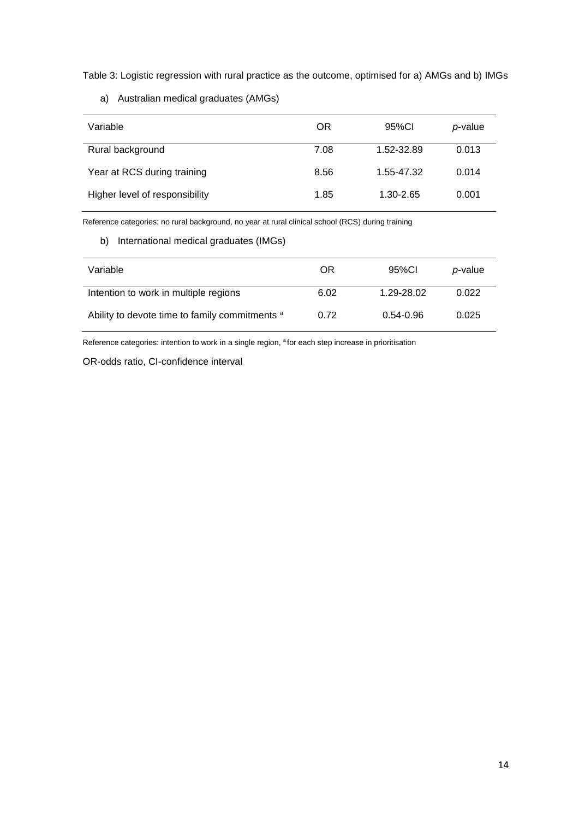Table 3: Logistic regression with rural practice as the outcome, optimised for a) AMGs and b) IMGs

a) Australian medical graduates (AMGs)

| Variable                       | OR   | 95%CI      | p-value |
|--------------------------------|------|------------|---------|
| Rural background               | 7.08 | 1.52-32.89 | 0.013   |
| Year at RCS during training    | 8.56 | 1.55-47.32 | 0.014   |
| Higher level of responsibility | 1.85 | 1.30-2.65  | 0.001   |

Reference categories: no rural background, no year at rural clinical school (RCS) during training

# b) International medical graduates (IMGs)

| Variable                                       | OR   | 95%Cl      | p-value |
|------------------------------------------------|------|------------|---------|
| Intention to work in multiple regions          | 6.02 | 1.29-28.02 | 0.022   |
| Ability to devote time to family commitments a | 0.72 | 0.54-0.96  | 0.025   |

Reference categories: intention to work in a single region, <sup>a</sup> for each step increase in prioritisation

OR-odds ratio, CI-confidence interval